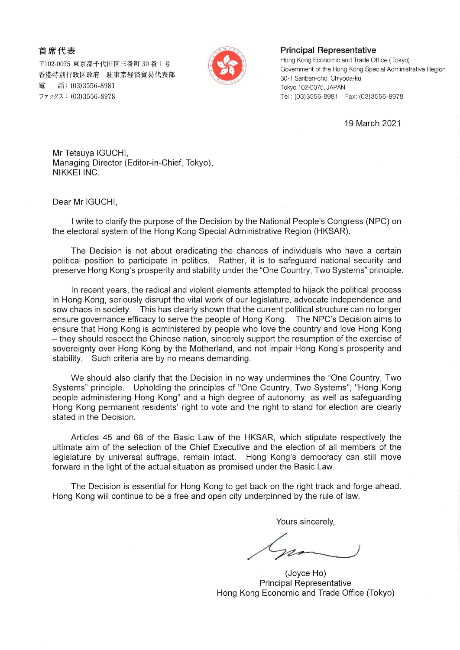首席代表

〒102-0075 東京都千代田区三番町 30 番 1 号 香港特別行政区政府 駐東京経済貿易代表部 話: (03)3556-8981 雷 ファックス: (03)3556-8978



## **Principal Representative**

Hong Kong Economic and Trade Office (Tokyo) Government of the Hong Kong Special Administrative Region 30-1 Sanban-cho, Chiyoda-ku Tokyo 102-0075, JAPAN Tel: (03)3556-8981 Fax: (03)3556-8978

19 March 2021

Mr Tetsuya IGUCHI, Managing Director (Editor-in-Chief, Tokyo), NIKKEI INC.

Dear Mr IGUCHI,

I write to clarify the purpose of the Decision by the National People's Congress (NPC) on the electoral system of the Hong Kong Special Administrative Region (HKSAR).

The Decision is not about eradicating the chances of individuals who have a certain political position to participate in politics. Rather, it is to safeguard national security and preserve Hong Kong's prosperity and stability under the "One Country, Two Systems" principle.

In recent years, the radical and violent elements attempted to hijack the political process in Hong Kong, seriously disrupt the vital work of our legislature, advocate independence and sow chaos in society. This has clearly shown that the current political structure can no longer ensure governance efficacy to serve the people of Hong Kong. The NPC's Decision aims to ensure that Hong Kong is administered by people who love the country and love Hong Kong - they should respect the Chinese nation, sincerely support the resumption of the exercise of sovereignty over Hong Kong by the Motherland, and not impair Hong Kong's prosperity and stability. Such criteria are by no means demanding.

We should also clarify that the Decision in no way undermines the "One Country, Two Systems" principle. Upholding the principles of "One Country, Two Systems", "Hong Kong people administering Hong Kong" and a high degree of autonomy, as well as safeguarding Hong Kong permanent residents' right to vote and the right to stand for election are clearly stated in the Decision.

Articles 45 and 68 of the Basic Law of the HKSAR, which stipulate respectively the ultimate aim of the selection of the Chief Executive and the election of all members of the legislature by universal suffrage, remain intact. Hong Kong's democracy can still move forward in the light of the actual situation as promised under the Basic Law.

The Decision is essential for Hong Kong to get back on the right track and forge ahead. Hong Kong will continue to be a free and open city underpinned by the rule of law.

Yours sincerely,

(Joyce Ho) **Principal Representative** Hong Kong Economic and Trade Office (Tokyo)